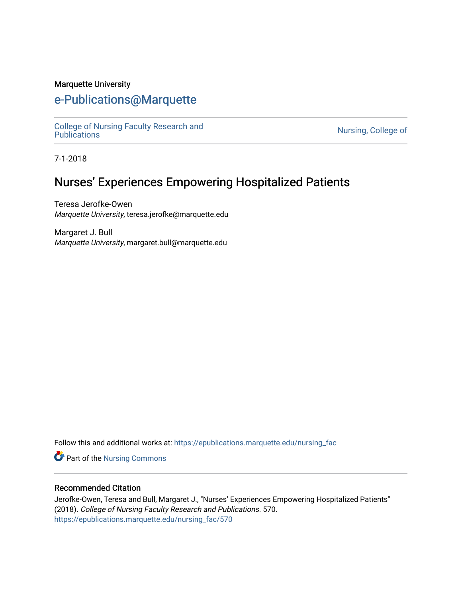#### Marquette University

# [e-Publications@Marquette](https://epublications.marquette.edu/)

[College of Nursing Faculty Research and](https://epublications.marquette.edu/nursing_fac)<br>Publications

Nursing, College of

7-1-2018

# Nurses' Experiences Empowering Hospitalized Patients

Teresa Jerofke-Owen Marquette University, teresa.jerofke@marquette.edu

Margaret J. Bull Marquette University, margaret.bull@marquette.edu

Follow this and additional works at: [https://epublications.marquette.edu/nursing\\_fac](https://epublications.marquette.edu/nursing_fac?utm_source=epublications.marquette.edu%2Fnursing_fac%2F570&utm_medium=PDF&utm_campaign=PDFCoverPages)

**Part of the Nursing Commons** 

#### Recommended Citation

Jerofke-Owen, Teresa and Bull, Margaret J., "Nurses' Experiences Empowering Hospitalized Patients" (2018). College of Nursing Faculty Research and Publications. 570. [https://epublications.marquette.edu/nursing\\_fac/570](https://epublications.marquette.edu/nursing_fac/570?utm_source=epublications.marquette.edu%2Fnursing_fac%2F570&utm_medium=PDF&utm_campaign=PDFCoverPages)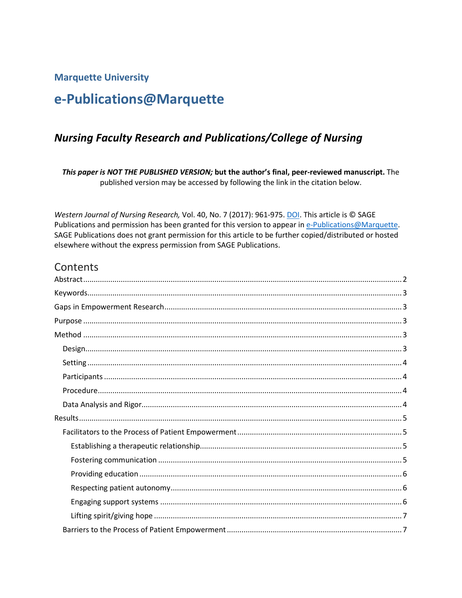## **Marquette University**

# e-Publications@Marquette

# **Nursing Faculty Research and Publications/College of Nursing**

This paper is NOT THE PUBLISHED VERSION; but the author's final, peer-reviewed manuscript. The published version may be accessed by following the link in the citation below.

Western Journal of Nursing Research, Vol. 40, No. 7 (2017): 961-975. DOI. This article is © SAGE Publications and permission has been granted for this version to appear in e-Publications@Marquette. SAGE Publications does not grant permission for this article to be further copied/distributed or hosted elsewhere without the express permission from SAGE Publications.

# Contents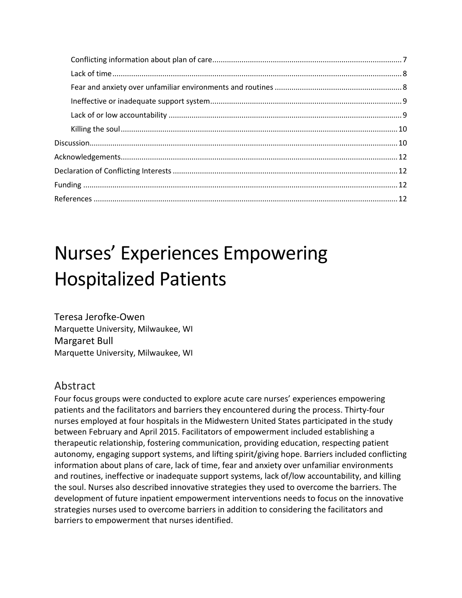# Nurses' Experiences Empowering Hospitalized Patients

Teresa Jerofke-Owen Marquette University, Milwaukee, WI Margaret Bull Marquette University, Milwaukee, WI

# <span id="page-2-0"></span>Abstract

Four focus groups were conducted to explore acute care nurses' experiences empowering patients and the facilitators and barriers they encountered during the process. Thirty-four nurses employed at four hospitals in the Midwestern United States participated in the study between February and April 2015. Facilitators of empowerment included establishing a therapeutic relationship, fostering communication, providing education, respecting patient autonomy, engaging support systems, and lifting spirit/giving hope. Barriers included conflicting information about plans of care, lack of time, fear and anxiety over unfamiliar environments and routines, ineffective or inadequate support systems, lack of/low accountability, and killing the soul. Nurses also described innovative strategies they used to overcome the barriers. The development of future inpatient empowerment interventions needs to focus on the innovative strategies nurses used to overcome barriers in addition to considering the facilitators and barriers to empowerment that nurses identified.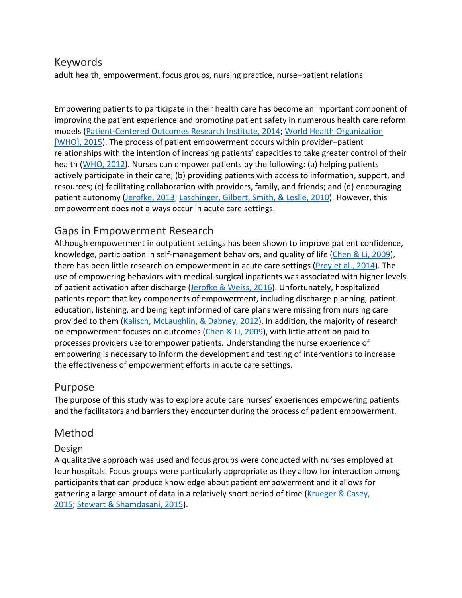## <span id="page-3-0"></span>Keywords

adult health, empowerment, focus groups, nursing practice, nurse–patient relations

Empowering patients to participate in their health care has become an important component of improving the patient experience and promoting patient safety in numerous health care reform models [\(Patient-Centered Outcomes Research Institute, 2014;](http://journals.sagepub.com/doi/10.1177/0193945917701395) [World Health Organization](http://journals.sagepub.com/doi/10.1177/0193945917701395)  [WHO], 2015]. The process of patient empowerment occurs within provider-patient relationships with the intention of increasing patients' capacities to take greater control of their health [\(WHO, 2012\)](http://journals.sagepub.com/doi/10.1177/0193945917701395). Nurses can empower patients by the following: (a) helping patients actively participate in their care; (b) providing patients with access to information, support, and resources; (c) facilitating collaboration with providers, family, and friends; and (d) encouraging patient autonomy [\(Jerofke, 2013;](http://journals.sagepub.com/doi/10.1177/0193945917701395) [Laschinger, Gilbert, Smith, & Leslie, 2010\)](http://journals.sagepub.com/doi/10.1177/0193945917701395). However, this empowerment does not always occur in acute care settings.

# <span id="page-3-1"></span>Gaps in Empowerment Research

Although empowerment in outpatient settings has been shown to improve patient confidence, knowledge, participation in self-management behaviors, and quality of life [\(Chen & Li, 2009\)](http://journals.sagepub.com/doi/10.1177/0193945917701395), there has been little research on empowerment in acute care settings [\(Prey et al., 2014\)](http://journals.sagepub.com/doi/10.1177/0193945917701395). The use of empowering behaviors with medical-surgical inpatients was associated with higher levels of patient activation after discharge [\(Jerofke & Weiss, 2016\)](http://journals.sagepub.com/doi/10.1177/0193945917701395). Unfortunately, hospitalized patients report that key components of empowerment, including discharge planning, patient education, listening, and being kept informed of care plans were missing from nursing care provided to them [\(Kalisch, McLaughlin, & Dabney, 2012\)](http://journals.sagepub.com/doi/10.1177/0193945917701395). In addition, the majority of research on empowerment focuses on outcomes [\(Chen & Li, 2009\)](http://journals.sagepub.com/doi/10.1177/0193945917701395), with little attention paid to processes providers use to empower patients. Understanding the nurse experience of empowering is necessary to inform the development and testing of interventions to increase the effectiveness of empowerment efforts in acute care settings.

# <span id="page-3-2"></span>Purpose

The purpose of this study was to explore acute care nurses' experiences empowering patients and the facilitators and barriers they encounter during the process of patient empowerment.

# <span id="page-3-3"></span>Method

## <span id="page-3-4"></span>Design

A qualitative approach was used and focus groups were conducted with nurses employed at four hospitals. Focus groups were particularly appropriate as they allow for interaction among participants that can produce knowledge about patient empowerment and it allows for gathering a large amount of data in a relatively short period of time [\(Krueger & Casey,](http://journals.sagepub.com/doi/10.1177/0193945917701395)  [2015;](http://journals.sagepub.com/doi/10.1177/0193945917701395) [Stewart & Shamdasani, 2015\)](http://journals.sagepub.com/doi/10.1177/0193945917701395).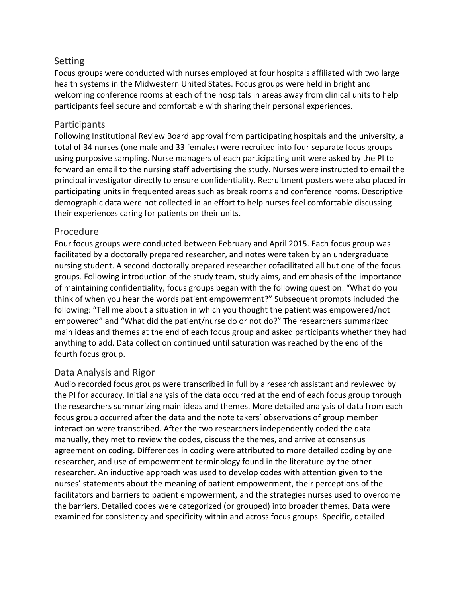## <span id="page-4-0"></span>Setting

Focus groups were conducted with nurses employed at four hospitals affiliated with two large health systems in the Midwestern United States. Focus groups were held in bright and welcoming conference rooms at each of the hospitals in areas away from clinical units to help participants feel secure and comfortable with sharing their personal experiences.

## <span id="page-4-1"></span>Participants

Following Institutional Review Board approval from participating hospitals and the university, a total of 34 nurses (one male and 33 females) were recruited into four separate focus groups using purposive sampling. Nurse managers of each participating unit were asked by the PI to forward an email to the nursing staff advertising the study. Nurses were instructed to email the principal investigator directly to ensure confidentiality. Recruitment posters were also placed in participating units in frequented areas such as break rooms and conference rooms. Descriptive demographic data were not collected in an effort to help nurses feel comfortable discussing their experiences caring for patients on their units.

## <span id="page-4-2"></span>Procedure

Four focus groups were conducted between February and April 2015. Each focus group was facilitated by a doctorally prepared researcher, and notes were taken by an undergraduate nursing student. A second doctorally prepared researcher cofacilitated all but one of the focus groups. Following introduction of the study team, study aims, and emphasis of the importance of maintaining confidentiality, focus groups began with the following question: "What do you think of when you hear the words patient empowerment?" Subsequent prompts included the following: "Tell me about a situation in which you thought the patient was empowered/not empowered" and "What did the patient/nurse do or not do?" The researchers summarized main ideas and themes at the end of each focus group and asked participants whether they had anything to add. Data collection continued until saturation was reached by the end of the fourth focus group.

## <span id="page-4-3"></span>Data Analysis and Rigor

Audio recorded focus groups were transcribed in full by a research assistant and reviewed by the PI for accuracy. Initial analysis of the data occurred at the end of each focus group through the researchers summarizing main ideas and themes. More detailed analysis of data from each focus group occurred after the data and the note takers' observations of group member interaction were transcribed. After the two researchers independently coded the data manually, they met to review the codes, discuss the themes, and arrive at consensus agreement on coding. Differences in coding were attributed to more detailed coding by one researcher, and use of empowerment terminology found in the literature by the other researcher. An inductive approach was used to develop codes with attention given to the nurses' statements about the meaning of patient empowerment, their perceptions of the facilitators and barriers to patient empowerment, and the strategies nurses used to overcome the barriers. Detailed codes were categorized (or grouped) into broader themes. Data were examined for consistency and specificity within and across focus groups. Specific, detailed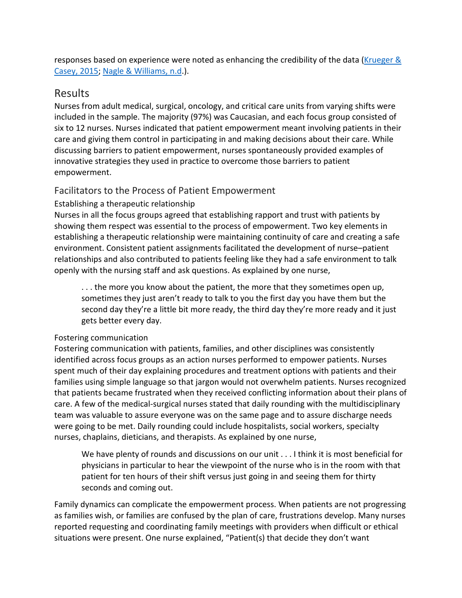responses based on experience were noted as enhancing the credibility of the data [\(Krueger &](http://journals.sagepub.com/doi/10.1177/0193945917701395)  [Casey, 2015;](http://journals.sagepub.com/doi/10.1177/0193945917701395) [Nagle & Williams, n.d.](http://journals.sagepub.com/doi/10.1177/0193945917701395)).

# <span id="page-5-0"></span>Results

Nurses from adult medical, surgical, oncology, and critical care units from varying shifts were included in the sample. The majority (97%) was Caucasian, and each focus group consisted of six to 12 nurses. Nurses indicated that patient empowerment meant involving patients in their care and giving them control in participating in and making decisions about their care. While discussing barriers to patient empowerment, nurses spontaneously provided examples of innovative strategies they used in practice to overcome those barriers to patient empowerment.

## <span id="page-5-1"></span>Facilitators to the Process of Patient Empowerment

## <span id="page-5-2"></span>Establishing a therapeutic relationship

Nurses in all the focus groups agreed that establishing rapport and trust with patients by showing them respect was essential to the process of empowerment. Two key elements in establishing a therapeutic relationship were maintaining continuity of care and creating a safe environment. Consistent patient assignments facilitated the development of nurse–patient relationships and also contributed to patients feeling like they had a safe environment to talk openly with the nursing staff and ask questions. As explained by one nurse,

. . . the more you know about the patient, the more that they sometimes open up, sometimes they just aren't ready to talk to you the first day you have them but the second day they're a little bit more ready, the third day they're more ready and it just gets better every day.

## <span id="page-5-3"></span>Fostering communication

Fostering communication with patients, families, and other disciplines was consistently identified across focus groups as an action nurses performed to empower patients. Nurses spent much of their day explaining procedures and treatment options with patients and their families using simple language so that jargon would not overwhelm patients. Nurses recognized that patients became frustrated when they received conflicting information about their plans of care. A few of the medical-surgical nurses stated that daily rounding with the multidisciplinary team was valuable to assure everyone was on the same page and to assure discharge needs were going to be met. Daily rounding could include hospitalists, social workers, specialty nurses, chaplains, dieticians, and therapists. As explained by one nurse,

We have plenty of rounds and discussions on our unit . . . I think it is most beneficial for physicians in particular to hear the viewpoint of the nurse who is in the room with that patient for ten hours of their shift versus just going in and seeing them for thirty seconds and coming out.

Family dynamics can complicate the empowerment process. When patients are not progressing as families wish, or families are confused by the plan of care, frustrations develop. Many nurses reported requesting and coordinating family meetings with providers when difficult or ethical situations were present. One nurse explained, "Patient(s) that decide they don't want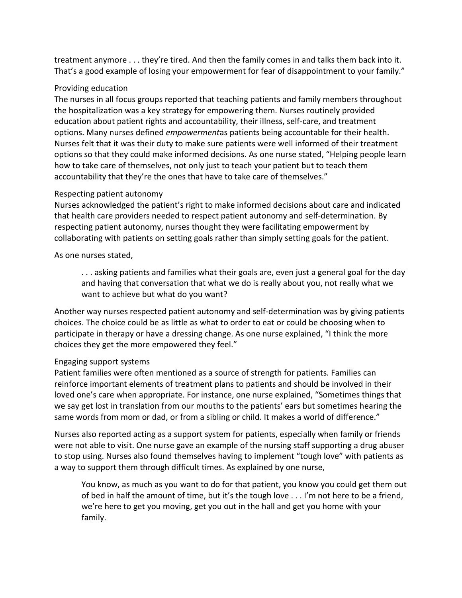treatment anymore . . . they're tired. And then the family comes in and talks them back into it. That's a good example of losing your empowerment for fear of disappointment to your family."

#### <span id="page-6-0"></span>Providing education

The nurses in all focus groups reported that teaching patients and family members throughout the hospitalization was a key strategy for empowering them. Nurses routinely provided education about patient rights and accountability, their illness, self-care, and treatment options. Many nurses defined *empowerment*as patients being accountable for their health. Nurses felt that it was their duty to make sure patients were well informed of their treatment options so that they could make informed decisions. As one nurse stated, "Helping people learn how to take care of themselves, not only just to teach your patient but to teach them accountability that they're the ones that have to take care of themselves."

#### <span id="page-6-1"></span>Respecting patient autonomy

Nurses acknowledged the patient's right to make informed decisions about care and indicated that health care providers needed to respect patient autonomy and self-determination. By respecting patient autonomy, nurses thought they were facilitating empowerment by collaborating with patients on setting goals rather than simply setting goals for the patient.

As one nurses stated,

. . . asking patients and families what their goals are, even just a general goal for the day and having that conversation that what we do is really about you, not really what we want to achieve but what do you want?

Another way nurses respected patient autonomy and self-determination was by giving patients choices. The choice could be as little as what to order to eat or could be choosing when to participate in therapy or have a dressing change. As one nurse explained, "I think the more choices they get the more empowered they feel."

## <span id="page-6-2"></span>Engaging support systems

Patient families were often mentioned as a source of strength for patients. Families can reinforce important elements of treatment plans to patients and should be involved in their loved one's care when appropriate. For instance, one nurse explained, "Sometimes things that we say get lost in translation from our mouths to the patients' ears but sometimes hearing the same words from mom or dad, or from a sibling or child. It makes a world of difference."

Nurses also reported acting as a support system for patients, especially when family or friends were not able to visit. One nurse gave an example of the nursing staff supporting a drug abuser to stop using. Nurses also found themselves having to implement "tough love" with patients as a way to support them through difficult times. As explained by one nurse,

You know, as much as you want to do for that patient, you know you could get them out of bed in half the amount of time, but it's the tough love . . . I'm not here to be a friend, we're here to get you moving, get you out in the hall and get you home with your family.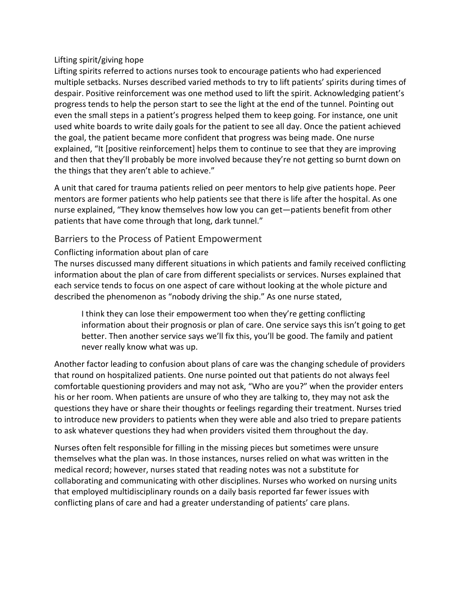#### <span id="page-7-0"></span>Lifting spirit/giving hope

Lifting spirits referred to actions nurses took to encourage patients who had experienced multiple setbacks. Nurses described varied methods to try to lift patients' spirits during times of despair. Positive reinforcement was one method used to lift the spirit. Acknowledging patient's progress tends to help the person start to see the light at the end of the tunnel. Pointing out even the small steps in a patient's progress helped them to keep going. For instance, one unit used white boards to write daily goals for the patient to see all day. Once the patient achieved the goal, the patient became more confident that progress was being made. One nurse explained, "It [positive reinforcement] helps them to continue to see that they are improving and then that they'll probably be more involved because they're not getting so burnt down on the things that they aren't able to achieve."

A unit that cared for trauma patients relied on peer mentors to help give patients hope. Peer mentors are former patients who help patients see that there is life after the hospital. As one nurse explained, "They know themselves how low you can get—patients benefit from other patients that have come through that long, dark tunnel."

## <span id="page-7-1"></span>Barriers to the Process of Patient Empowerment

## <span id="page-7-2"></span>Conflicting information about plan of care

The nurses discussed many different situations in which patients and family received conflicting information about the plan of care from different specialists or services. Nurses explained that each service tends to focus on one aspect of care without looking at the whole picture and described the phenomenon as "nobody driving the ship." As one nurse stated,

I think they can lose their empowerment too when they're getting conflicting information about their prognosis or plan of care. One service says this isn't going to get better. Then another service says we'll fix this, you'll be good. The family and patient never really know what was up.

Another factor leading to confusion about plans of care was the changing schedule of providers that round on hospitalized patients. One nurse pointed out that patients do not always feel comfortable questioning providers and may not ask, "Who are you?" when the provider enters his or her room. When patients are unsure of who they are talking to, they may not ask the questions they have or share their thoughts or feelings regarding their treatment. Nurses tried to introduce new providers to patients when they were able and also tried to prepare patients to ask whatever questions they had when providers visited them throughout the day.

Nurses often felt responsible for filling in the missing pieces but sometimes were unsure themselves what the plan was. In those instances, nurses relied on what was written in the medical record; however, nurses stated that reading notes was not a substitute for collaborating and communicating with other disciplines. Nurses who worked on nursing units that employed multidisciplinary rounds on a daily basis reported far fewer issues with conflicting plans of care and had a greater understanding of patients' care plans.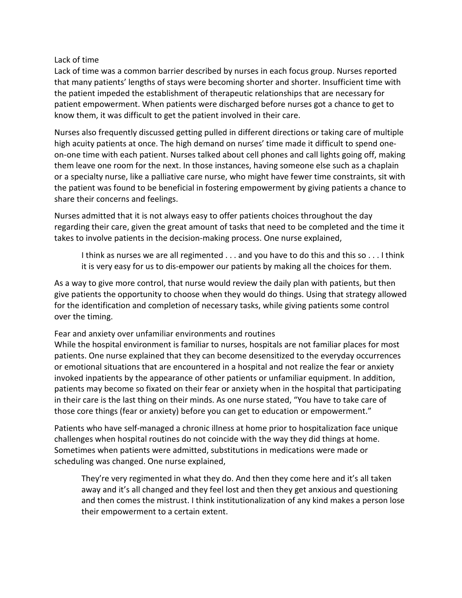#### <span id="page-8-0"></span>Lack of time

Lack of time was a common barrier described by nurses in each focus group. Nurses reported that many patients' lengths of stays were becoming shorter and shorter. Insufficient time with the patient impeded the establishment of therapeutic relationships that are necessary for patient empowerment. When patients were discharged before nurses got a chance to get to know them, it was difficult to get the patient involved in their care.

Nurses also frequently discussed getting pulled in different directions or taking care of multiple high acuity patients at once. The high demand on nurses' time made it difficult to spend oneon-one time with each patient. Nurses talked about cell phones and call lights going off, making them leave one room for the next. In those instances, having someone else such as a chaplain or a specialty nurse, like a palliative care nurse, who might have fewer time constraints, sit with the patient was found to be beneficial in fostering empowerment by giving patients a chance to share their concerns and feelings.

Nurses admitted that it is not always easy to offer patients choices throughout the day regarding their care, given the great amount of tasks that need to be completed and the time it takes to involve patients in the decision-making process. One nurse explained,

I think as nurses we are all regimented . . . and you have to do this and this so . . . I think it is very easy for us to dis-empower our patients by making all the choices for them.

As a way to give more control, that nurse would review the daily plan with patients, but then give patients the opportunity to choose when they would do things. Using that strategy allowed for the identification and completion of necessary tasks, while giving patients some control over the timing.

#### <span id="page-8-1"></span>Fear and anxiety over unfamiliar environments and routines

While the hospital environment is familiar to nurses, hospitals are not familiar places for most patients. One nurse explained that they can become desensitized to the everyday occurrences or emotional situations that are encountered in a hospital and not realize the fear or anxiety invoked inpatients by the appearance of other patients or unfamiliar equipment. In addition, patients may become so fixated on their fear or anxiety when in the hospital that participating in their care is the last thing on their minds. As one nurse stated, "You have to take care of those core things (fear or anxiety) before you can get to education or empowerment."

Patients who have self-managed a chronic illness at home prior to hospitalization face unique challenges when hospital routines do not coincide with the way they did things at home. Sometimes when patients were admitted, substitutions in medications were made or scheduling was changed. One nurse explained,

They're very regimented in what they do. And then they come here and it's all taken away and it's all changed and they feel lost and then they get anxious and questioning and then comes the mistrust. I think institutionalization of any kind makes a person lose their empowerment to a certain extent.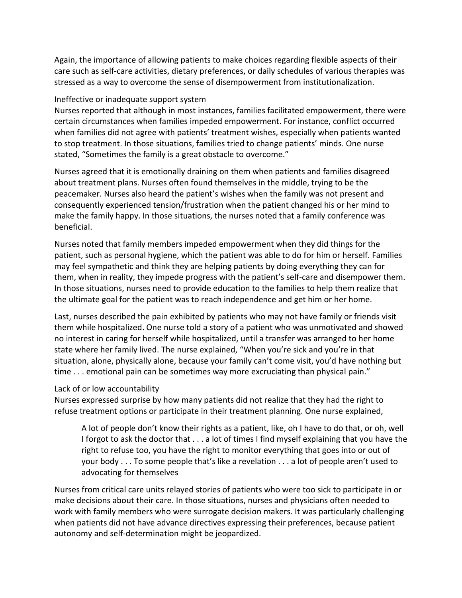Again, the importance of allowing patients to make choices regarding flexible aspects of their care such as self-care activities, dietary preferences, or daily schedules of various therapies was stressed as a way to overcome the sense of disempowerment from institutionalization.

#### <span id="page-9-0"></span>Ineffective or inadequate support system

Nurses reported that although in most instances, families facilitated empowerment, there were certain circumstances when families impeded empowerment. For instance, conflict occurred when families did not agree with patients' treatment wishes, especially when patients wanted to stop treatment. In those situations, families tried to change patients' minds. One nurse stated, "Sometimes the family is a great obstacle to overcome."

Nurses agreed that it is emotionally draining on them when patients and families disagreed about treatment plans. Nurses often found themselves in the middle, trying to be the peacemaker. Nurses also heard the patient's wishes when the family was not present and consequently experienced tension/frustration when the patient changed his or her mind to make the family happy. In those situations, the nurses noted that a family conference was beneficial.

Nurses noted that family members impeded empowerment when they did things for the patient, such as personal hygiene, which the patient was able to do for him or herself. Families may feel sympathetic and think they are helping patients by doing everything they can for them, when in reality, they impede progress with the patient's self-care and disempower them. In those situations, nurses need to provide education to the families to help them realize that the ultimate goal for the patient was to reach independence and get him or her home.

Last, nurses described the pain exhibited by patients who may not have family or friends visit them while hospitalized. One nurse told a story of a patient who was unmotivated and showed no interest in caring for herself while hospitalized, until a transfer was arranged to her home state where her family lived. The nurse explained, "When you're sick and you're in that situation, alone, physically alone, because your family can't come visit, you'd have nothing but time . . . emotional pain can be sometimes way more excruciating than physical pain."

#### <span id="page-9-1"></span>Lack of or low accountability

Nurses expressed surprise by how many patients did not realize that they had the right to refuse treatment options or participate in their treatment planning. One nurse explained,

A lot of people don't know their rights as a patient, like, oh I have to do that, or oh, well I forgot to ask the doctor that . . . a lot of times I find myself explaining that you have the right to refuse too, you have the right to monitor everything that goes into or out of your body . . . To some people that's like a revelation . . . a lot of people aren't used to advocating for themselves

Nurses from critical care units relayed stories of patients who were too sick to participate in or make decisions about their care. In those situations, nurses and physicians often needed to work with family members who were surrogate decision makers. It was particularly challenging when patients did not have advance directives expressing their preferences, because patient autonomy and self-determination might be jeopardized.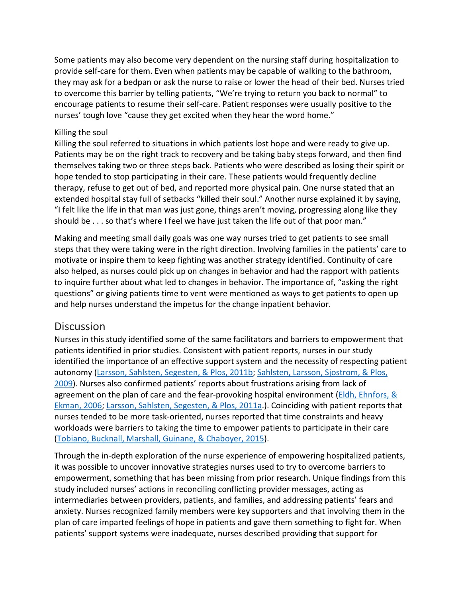Some patients may also become very dependent on the nursing staff during hospitalization to provide self-care for them. Even when patients may be capable of walking to the bathroom, they may ask for a bedpan or ask the nurse to raise or lower the head of their bed. Nurses tried to overcome this barrier by telling patients, "We're trying to return you back to normal" to encourage patients to resume their self-care. Patient responses were usually positive to the nurses' tough love "cause they get excited when they hear the word home."

#### <span id="page-10-0"></span>Killing the soul

Killing the soul referred to situations in which patients lost hope and were ready to give up. Patients may be on the right track to recovery and be taking baby steps forward, and then find themselves taking two or three steps back. Patients who were described as losing their spirit or hope tended to stop participating in their care. These patients would frequently decline therapy, refuse to get out of bed, and reported more physical pain. One nurse stated that an extended hospital stay full of setbacks "killed their soul." Another nurse explained it by saying, "I felt like the life in that man was just gone, things aren't moving, progressing along like they should be . . . so that's where I feel we have just taken the life out of that poor man."

Making and meeting small daily goals was one way nurses tried to get patients to see small steps that they were taking were in the right direction. Involving families in the patients' care to motivate or inspire them to keep fighting was another strategy identified. Continuity of care also helped, as nurses could pick up on changes in behavior and had the rapport with patients to inquire further about what led to changes in behavior. The importance of, "asking the right questions" or giving patients time to vent were mentioned as ways to get patients to open up and help nurses understand the impetus for the change inpatient behavior.

## <span id="page-10-1"></span>**Discussion**

Nurses in this study identified some of the same facilitators and barriers to empowerment that patients identified in prior studies. Consistent with patient reports, nurses in our study identified the importance of an effective support system and the necessity of respecting patient autonomy [\(Larsson, Sahlsten, Segesten, & Plos, 2011b;](http://journals.sagepub.com/doi/10.1177/0193945917701395) [Sahlsten, Larsson, Sjostrom, & Plos,](http://journals.sagepub.com/doi/10.1177/0193945917701395)  [2009\)](http://journals.sagepub.com/doi/10.1177/0193945917701395). Nurses also confirmed patients' reports about frustrations arising from lack of agreement on the plan of care and the fear-provoking hospital environment ( $E$ Idh, Ehnfors,  $\&$ [Ekman, 2006;](http://journals.sagepub.com/doi/10.1177/0193945917701395) [Larsson, Sahlsten, Segesten, & Plos, 2011a.](http://journals.sagepub.com/doi/10.1177/0193945917701395)). Coinciding with patient reports that nurses tended to be more task-oriented, nurses reported that time constraints and heavy workloads were barriers to taking the time to empower patients to participate in their care [\(Tobiano, Bucknall, Marshall, Guinane, & Chaboyer, 2015\)](http://journals.sagepub.com/doi/10.1177/0193945917701395).

Through the in-depth exploration of the nurse experience of empowering hospitalized patients, it was possible to uncover innovative strategies nurses used to try to overcome barriers to empowerment, something that has been missing from prior research. Unique findings from this study included nurses' actions in reconciling conflicting provider messages, acting as intermediaries between providers, patients, and families, and addressing patients' fears and anxiety. Nurses recognized family members were key supporters and that involving them in the plan of care imparted feelings of hope in patients and gave them something to fight for. When patients' support systems were inadequate, nurses described providing that support for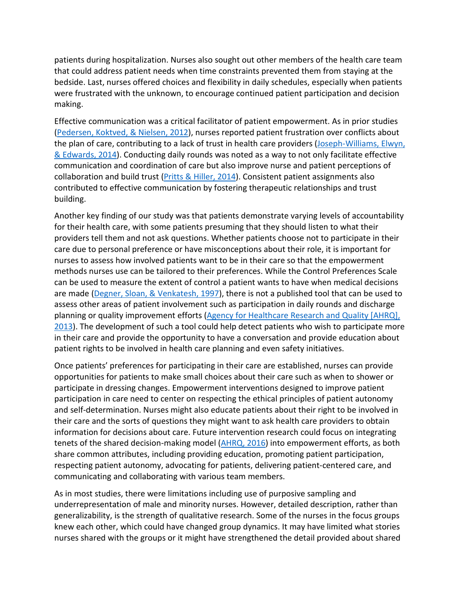patients during hospitalization. Nurses also sought out other members of the health care team that could address patient needs when time constraints prevented them from staying at the bedside. Last, nurses offered choices and flexibility in daily schedules, especially when patients were frustrated with the unknown, to encourage continued patient participation and decision making.

Effective communication was a critical facilitator of patient empowerment. As in prior studies [\(Pedersen, Koktved, & Nielsen, 2012\)](http://journals.sagepub.com/doi/10.1177/0193945917701395), nurses reported patient frustration over conflicts about the plan of care, contributing to a lack of trust in health care providers (Joseph-Williams, Elwyn, [& Edwards, 2014\)](http://journals.sagepub.com/doi/10.1177/0193945917701395). Conducting daily rounds was noted as a way to not only facilitate effective communication and coordination of care but also improve nurse and patient perceptions of collaboration and build trust [\(Pritts & Hiller, 2014\)](http://journals.sagepub.com/doi/10.1177/0193945917701395). Consistent patient assignments also contributed to effective communication by fostering therapeutic relationships and trust building.

Another key finding of our study was that patients demonstrate varying levels of accountability for their health care, with some patients presuming that they should listen to what their providers tell them and not ask questions. Whether patients choose not to participate in their care due to personal preference or have misconceptions about their role, it is important for nurses to assess how involved patients want to be in their care so that the empowerment methods nurses use can be tailored to their preferences. While the Control Preferences Scale can be used to measure the extent of control a patient wants to have when medical decisions are made [\(Degner, Sloan, & Venkatesh, 1997\)](http://journals.sagepub.com/doi/10.1177/0193945917701395), there is not a published tool that can be used to assess other areas of patient involvement such as participation in daily rounds and discharge planning or quality improvement efforts [\(Agency for Healthcare Research and Quality \[AHRQ\],](http://journals.sagepub.com/doi/10.1177/0193945917701395)  [2013\)](http://journals.sagepub.com/doi/10.1177/0193945917701395). The development of such a tool could help detect patients who wish to participate more in their care and provide the opportunity to have a conversation and provide education about patient rights to be involved in health care planning and even safety initiatives.

Once patients' preferences for participating in their care are established, nurses can provide opportunities for patients to make small choices about their care such as when to shower or participate in dressing changes. Empowerment interventions designed to improve patient participation in care need to center on respecting the ethical principles of patient autonomy and self-determination. Nurses might also educate patients about their right to be involved in their care and the sorts of questions they might want to ask health care providers to obtain information for decisions about care. Future intervention research could focus on integrating tenets of the shared decision-making model [\(AHRQ, 2016\)](http://journals.sagepub.com/doi/10.1177/0193945917701395) into empowerment efforts, as both share common attributes, including providing education, promoting patient participation, respecting patient autonomy, advocating for patients, delivering patient-centered care, and communicating and collaborating with various team members.

As in most studies, there were limitations including use of purposive sampling and underrepresentation of male and minority nurses. However, detailed description, rather than generalizability, is the strength of qualitative research. Some of the nurses in the focus groups knew each other, which could have changed group dynamics. It may have limited what stories nurses shared with the groups or it might have strengthened the detail provided about shared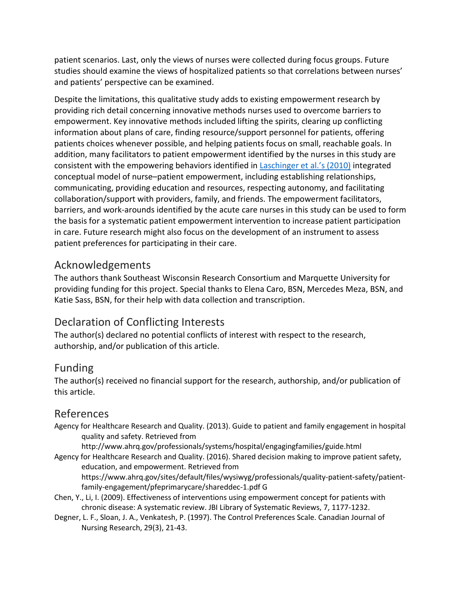patient scenarios. Last, only the views of nurses were collected during focus groups. Future studies should examine the views of hospitalized patients so that correlations between nurses' and patients' perspective can be examined.

Despite the limitations, this qualitative study adds to existing empowerment research by providing rich detail concerning innovative methods nurses used to overcome barriers to empowerment. Key innovative methods included lifting the spirits, clearing up conflicting information about plans of care, finding resource/support personnel for patients, offering patients choices whenever possible, and helping patients focus on small, reachable goals. In addition, many facilitators to patient empowerment identified by the nurses in this study are consistent with the empowering behaviors identified in **[Laschinger et al.'s \(2010\)](http://journals.sagepub.com/doi/10.1177/0193945917701395)** integrated conceptual model of nurse–patient empowerment, including establishing relationships, communicating, providing education and resources, respecting autonomy, and facilitating collaboration/support with providers, family, and friends. The empowerment facilitators, barriers, and work-arounds identified by the acute care nurses in this study can be used to form the basis for a systematic patient empowerment intervention to increase patient participation in care. Future research might also focus on the development of an instrument to assess patient preferences for participating in their care.

# <span id="page-12-0"></span>Acknowledgements

The authors thank Southeast Wisconsin Research Consortium and Marquette University for providing funding for this project. Special thanks to Elena Caro, BSN, Mercedes Meza, BSN, and Katie Sass, BSN, for their help with data collection and transcription.

# <span id="page-12-1"></span>Declaration of Conflicting Interests

The author(s) declared no potential conflicts of interest with respect to the research, authorship, and/or publication of this article.

# <span id="page-12-2"></span>Funding

The author(s) received no financial support for the research, authorship, and/or publication of this article.

# <span id="page-12-3"></span>References

Agency for Healthcare Research and Quality. (2013). Guide to patient and family engagement in hospital quality and safety. Retrieved from

http://www.ahrq.gov/professionals/systems/hospital/engagingfamilies/guide.html

Agency for Healthcare Research and Quality. (2016). Shared decision making to improve patient safety, education, and empowerment. Retrieved from https://www.ahrq.gov/sites/default/files/wysiwyg/professionals/quality-patient-safety/patient-

family-engagement/pfeprimarycare/shareddec-1.pdf G

- Chen, Y., Li, I. (2009). Effectiveness of interventions using empowerment concept for patients with chronic disease: A systematic review. JBI Library of Systematic Reviews, 7, 1177-1232.
- Degner, L. F., Sloan, J. A., Venkatesh, P. (1997). The Control Preferences Scale. Canadian Journal of Nursing Research, 29(3), 21-43.